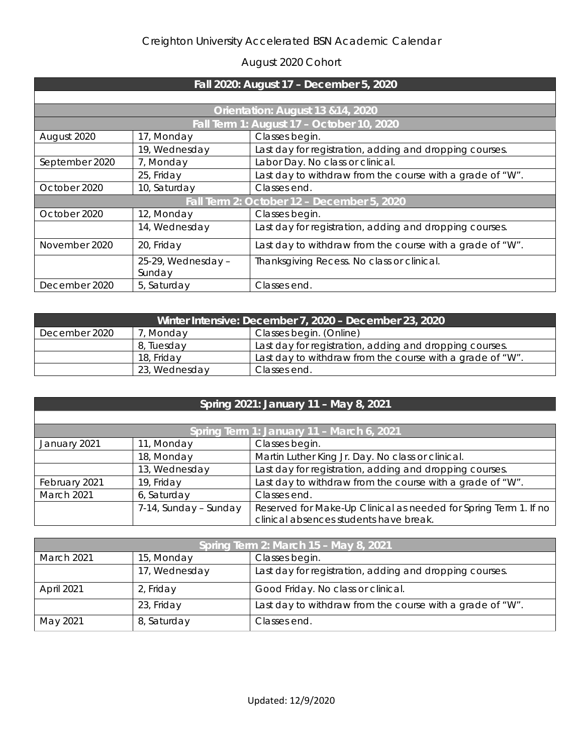## Creighton University Accelerated BSN Academic Calendar

## August 2020 Cohort

| Fall 2020: August 17 - December 5, 2020    |                              |                                                           |
|--------------------------------------------|------------------------------|-----------------------------------------------------------|
|                                            |                              |                                                           |
| Orientation: August 13 & 14, 2020          |                              |                                                           |
| Fall Term 1: August 17 - October 10, 2020  |                              |                                                           |
| August 2020                                | 17, Monday                   | Classes begin.                                            |
|                                            | 19, Wednesday                | Last day for registration, adding and dropping courses.   |
| September 2020                             | 7, Monday                    | Labor Day. No class or clinical.                          |
|                                            | 25, Friday                   | Last day to withdraw from the course with a grade of "W". |
| October 2020                               | 10, Saturday                 | Classes end.                                              |
| Fall Term 2: October 12 - December 5, 2020 |                              |                                                           |
| October 2020                               | 12, Monday                   | Classes begin.                                            |
|                                            | 14, Wednesday                | Last day for registration, adding and dropping courses.   |
| November 2020                              | 20, Friday                   | Last day to withdraw from the course with a grade of "W". |
|                                            | 25-29, Wednesday -<br>Sunday | Thanksgiving Recess. No class or clinical.                |
| December 2020                              | 5, Saturday                  | Classes end.                                              |

| Winter Intensive: December 7, 2020 - December 23, 2020 |               |                                                           |
|--------------------------------------------------------|---------------|-----------------------------------------------------------|
| December 2020                                          | Monday        | Classes begin. (Online)                                   |
|                                                        | 8, Tuesday    | Last day for registration, adding and dropping courses.   |
|                                                        | 18, Friday    | Last day to withdraw from the course with a grade of "W". |
|                                                        | 23, Wednesday | Classes end.                                              |

|  | Spring 2021: January 11 - May 8, 2021 |  |  |
|--|---------------------------------------|--|--|
|  |                                       |  |  |

| Spring Term 1: January 11 - March 6, 2021 |                       |                                                                  |
|-------------------------------------------|-----------------------|------------------------------------------------------------------|
| January 2021                              | 11, Monday            | Classes begin.                                                   |
|                                           | 18, Monday            | Martin Luther King Jr. Day. No class or clinical.                |
|                                           | 13, Wednesday         | Last day for registration, adding and dropping courses.          |
| February 2021                             | 19, Friday            | Last day to withdraw from the course with a grade of "W".        |
| March 2021                                | 6, Saturday           | Classes end.                                                     |
|                                           | 7-14, Sunday – Sunday | Reserved for Make-Up Clinical as needed for Spring Term 1. If no |
|                                           |                       | clinical absences students have break.                           |

| Spring Term 2: March 15 - May 8, 2021 |               |                                                           |
|---------------------------------------|---------------|-----------------------------------------------------------|
| <b>March 2021</b>                     | 15, Monday    | Classes begin.                                            |
|                                       | 17, Wednesday | Last day for registration, adding and dropping courses.   |
| April 2021                            | 2, Friday     | Good Friday. No class or clinical.                        |
|                                       | 23, Friday    | Last day to withdraw from the course with a grade of "W". |
| May 2021                              | 8, Saturday   | Classes end.                                              |